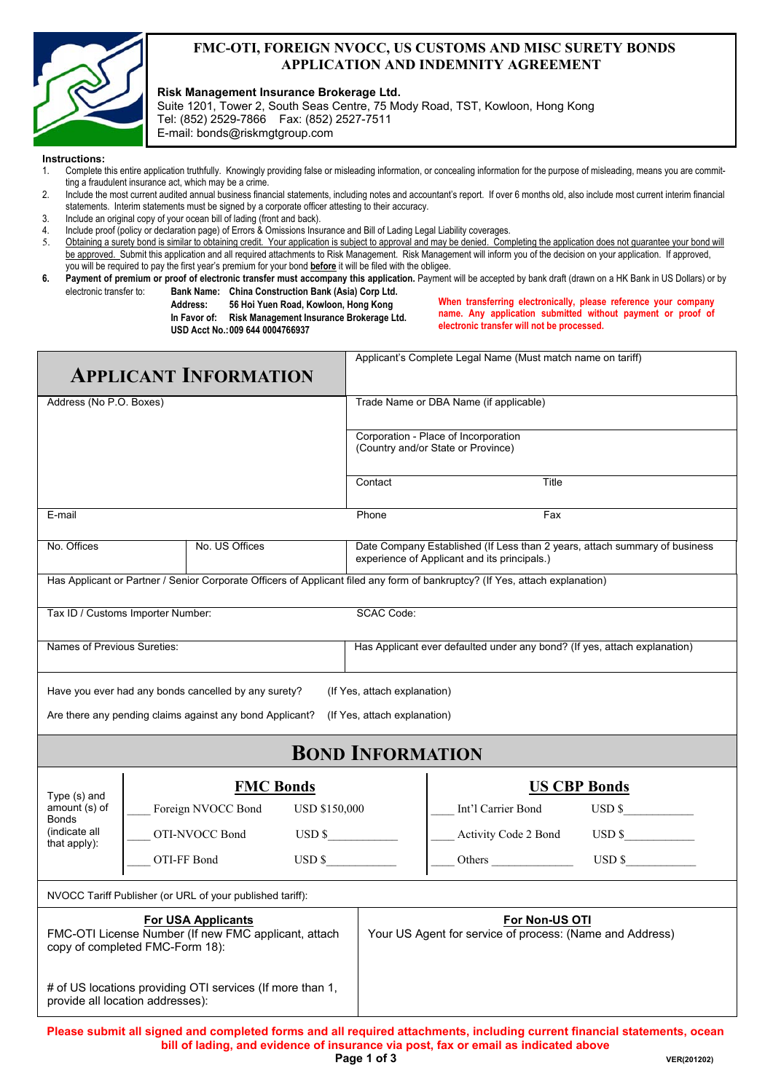

#### **FMC-OTI, FOREIGN NVOCC, US CUSTOMS AND MISC SURETY BONDS APPLICATION AND INDEMNITY AGREEMENT**

**Risk Management Insurance Brokerage Ltd.** 

Suite 1201, Tower 2, South Seas Centre, 75 Mody Road, TST, Kowloon, Hong Kong Tel: (852) 2529-7866 Fax: (852) 2527-7511 E-mail: bonds@riskmgtgroup.com

#### **Instructions:**

- 1. Complete this entire application truthfully. Knowingly providing false or misleading information, or concealing information for the purpose of misleading, means you are committing a fraudulent insurance act, which may be a crime.
- 2. Include the most current audited annual business financial statements, including notes and accountant's report. If over 6 months old, also include most current interim financial statements. Interim statements must be signed by a corporate officer attesting to their accuracy.
- 3. Include an original copy of your ocean bill of lading (front and back).
- 4. Include proof (policy or declaration page) of Errors & Omissions Insurance and Bill of Lading Legal Liability coverages.

5. Obtaining a surety bond is similar to obtaining credit. Your application is subject to approval and may be denied. Completing the application does not guarantee your bond will be approved. Submit this application and all required attachments to Risk Management. Risk Management will inform you of the decision on your application. If approved, you will be required to pay the first year's premium for your bond **before** it will be filed with the obligee.

6. Payment of premium or proof of electronic transfer must accompany this application. Payment will be accepted by bank draft (drawn on a HK Bank in US Dollars) or by electronic transfer to: **Bank Name: China Construction Bank (Asia) Corp Ltd.** 

 **Address: 56 Hoi Yuen Road, Kowloon, Hong Kong** 

 **In Favor of: Risk Management Insurance Brokerage Ltd. USD Acct No.: 009 644 0004766937** 

**When transferring electronically, please reference your company name. Any application submitted without payment or proof of electronic transfer will not be processed.**

| <b>APPLICANT INFORMATION</b>                                                                                         |                  |                                                           |                                                                            | Applicant's Complete Legal Name (Must match name on tariff)                                                                |                                                                                                                              |                                                                                                                          |  |
|----------------------------------------------------------------------------------------------------------------------|------------------|-----------------------------------------------------------|----------------------------------------------------------------------------|----------------------------------------------------------------------------------------------------------------------------|------------------------------------------------------------------------------------------------------------------------------|--------------------------------------------------------------------------------------------------------------------------|--|
| Address (No P.O. Boxes)                                                                                              |                  |                                                           | Trade Name or DBA Name (if applicable)                                     |                                                                                                                            |                                                                                                                              |                                                                                                                          |  |
|                                                                                                                      |                  |                                                           | Corporation - Place of Incorporation<br>(Country and/or State or Province) |                                                                                                                            |                                                                                                                              |                                                                                                                          |  |
|                                                                                                                      |                  |                                                           |                                                                            | Contact                                                                                                                    | Title                                                                                                                        |                                                                                                                          |  |
| E-mail                                                                                                               |                  |                                                           |                                                                            | Phone                                                                                                                      | Fax                                                                                                                          |                                                                                                                          |  |
| No. Offices                                                                                                          | No. US Offices   |                                                           |                                                                            | Date Company Established (If Less than 2 years, attach summary of business<br>experience of Applicant and its principals.) |                                                                                                                              |                                                                                                                          |  |
|                                                                                                                      |                  |                                                           |                                                                            |                                                                                                                            | Has Applicant or Partner / Senior Corporate Officers of Applicant filed any form of bankruptcy? (If Yes, attach explanation) |                                                                                                                          |  |
| Tax ID / Customs Importer Number:                                                                                    |                  |                                                           |                                                                            | <b>SCAC Code:</b>                                                                                                          |                                                                                                                              |                                                                                                                          |  |
| Names of Previous Sureties:                                                                                          |                  |                                                           |                                                                            |                                                                                                                            | Has Applicant ever defaulted under any bond? (If yes, attach explanation)                                                    |                                                                                                                          |  |
|                                                                                                                      |                  | Have you ever had any bonds cancelled by any surety?      |                                                                            | (If Yes, attach explanation)                                                                                               |                                                                                                                              |                                                                                                                          |  |
|                                                                                                                      |                  | Are there any pending claims against any bond Applicant?  |                                                                            | (If Yes, attach explanation)                                                                                               |                                                                                                                              |                                                                                                                          |  |
|                                                                                                                      |                  |                                                           |                                                                            | <b>BOND INFORMATION</b>                                                                                                    |                                                                                                                              |                                                                                                                          |  |
| Type (s) and                                                                                                         | <b>FMC Bonds</b> |                                                           |                                                                            |                                                                                                                            |                                                                                                                              | <b>US CBP Bonds</b>                                                                                                      |  |
| amount (s) of<br>Bonds                                                                                               |                  | Foreign NVOCC Bond<br><b>USD \$150,000</b>                |                                                                            |                                                                                                                            | Int'l Carrier Bond                                                                                                           | $\overline{USD}$ \$                                                                                                      |  |
| (indicate all<br>that apply):                                                                                        |                  | $\overline{USD}$ \$<br>OTI-NVOCC Bond                     |                                                                            |                                                                                                                            | Activity Code 2 Bond                                                                                                         | $\overline{USD}$ \$                                                                                                      |  |
|                                                                                                                      |                  | $\overline{USD}$ \$<br>OTI-FF Bond                        |                                                                            |                                                                                                                            |                                                                                                                              | $\text{USD }$ \$                                                                                                         |  |
|                                                                                                                      |                  | NVOCC Tariff Publisher (or URL of your published tariff): |                                                                            |                                                                                                                            |                                                                                                                              |                                                                                                                          |  |
| <b>For USA Applicants</b><br>FMC-OTI License Number (If new FMC applicant, attach<br>copy of completed FMC-Form 18): |                  |                                                           |                                                                            | For Non-US OTI<br>Your US Agent for service of process: (Name and Address)                                                 |                                                                                                                              |                                                                                                                          |  |
| # of US locations providing OTI services (If more than 1,<br>provide all location addresses):                        |                  |                                                           |                                                                            |                                                                                                                            |                                                                                                                              |                                                                                                                          |  |
|                                                                                                                      |                  |                                                           |                                                                            |                                                                                                                            | bill of lading, and evidence of insurance via post, fax or email as indicated above                                          | Please submit all signed and completed forms and all required attachments, including current financial statements, ocean |  |

**Page 1 of 3**  $VER(201202)$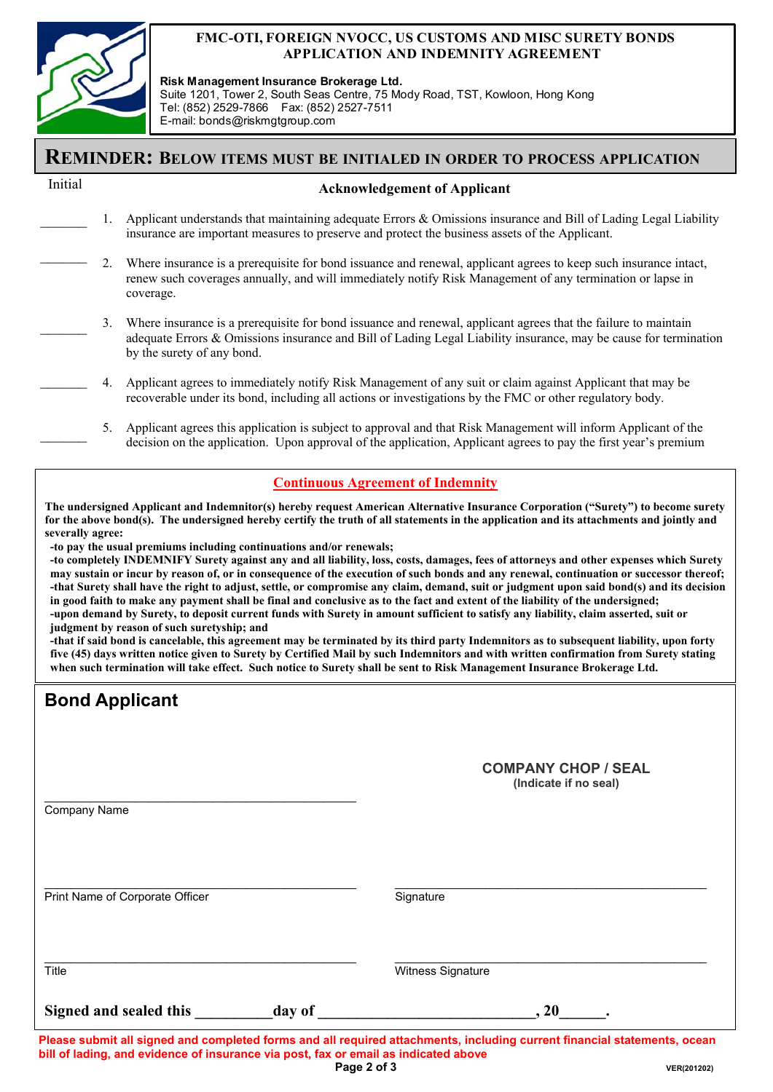

#### **FMC-OTI, FOREIGN NVOCC, US CUSTOMS AND MISC SURETY BONDS APPLICATION AND INDEMNITY AGREEMENT**

**Risk Management Insurance Brokerage Ltd.**  Suite 1201, Tower 2, South Seas Centre, 75 Mody Road, TST, Kowloon, Hong Kong Tel: (852) 2529-7866 Fax: (852) 2527-7511 E-mail: bonds@riskmgtgroup.com

## **REMINDER: BELOW ITEMS MUST BE INITIALED IN ORDER TO PROCESS APPLICATION**

#### Initial

 $\frac{1}{2}$ 

 $\frac{1}{2}$ 

#### **Acknowledgement of Applicant**

- 1. Applicant understands that maintaining adequate Errors & Omissions insurance and Bill of Lading Legal Liability insurance are important measures to preserve and protect the business assets of the Applicant.  $\mathcal{L}_\text{max}$
- 2. Where insurance is a prerequisite for bond issuance and renewal, applicant agrees to keep such insurance intact, renew such coverages annually, and will immediately notify Risk Management of any termination or lapse in coverage.  $\frac{1}{2}$
- 3. Where insurance is a prerequisite for bond issuance and renewal, applicant agrees that the failure to maintain adequate Errors & Omissions insurance and Bill of Lading Legal Liability insurance, may be cause for termination by the surety of any bond.  $\mathcal{L}_\text{max}$ 
	- 4. Applicant agrees to immediately notify Risk Management of any suit or claim against Applicant that may be recoverable under its bond, including all actions or investigations by the FMC or other regulatory body.
	- 5. Applicant agrees this application is subject to approval and that Risk Management will inform Applicant of the decision on the application. Upon approval of the application, Applicant agrees to pay the first year's premium

#### **Continuous Agreement of Indemnity**

**The undersigned Applicant and Indemnitor(s) hereby request American Alternative Insurance Corporation ("Surety") to become surety for the above bond(s). The undersigned hereby certify the truth of all statements in the application and its attachments and jointly and severally agree:** 

**-to pay the usual premiums including continuations and/or renewals;** 

**-to completely INDEMNIFY Surety against any and all liability, loss, costs, damages, fees of attorneys and other expenses which Surety may sustain or incur by reason of, or in consequence of the execution of such bonds and any renewal, continuation or successor thereof; -that Surety shall have the right to adjust, settle, or compromise any claim, demand, suit or judgment upon said bond(s) and its decision in good faith to make any payment shall be final and conclusive as to the fact and extent of the liability of the undersigned; -upon demand by Surety, to deposit current funds with Surety in amount sufficient to satisfy any liability, claim asserted, suit or judgment by reason of such suretyship; and** 

**-that if said bond is cancelable, this agreement may be terminated by its third party Indemnitors as to subsequent liability, upon forty five (45) days written notice given to Surety by Certified Mail by such Indemnitors and with written confirmation from Surety stating when such termination will take effect. Such notice to Surety shall be sent to Risk Management Insurance Brokerage Ltd.** 

| <b>Bond Applicant</b>           |        |                                                     |
|---------------------------------|--------|-----------------------------------------------------|
|                                 |        | <b>COMPANY CHOP / SEAL</b><br>(Indicate if no seal) |
| Company Name                    |        |                                                     |
| Print Name of Corporate Officer |        | Signature                                           |
| Title                           |        | Witness Signature                                   |
| Signed and sealed this          | day of | 20                                                  |

**Please submit all signed and completed forms and all required attachments, including current financial statements, ocean bill of lading, and evidence of insurance via post, fax or email as indicated above Page 2 of 3**  $VER(201202)$